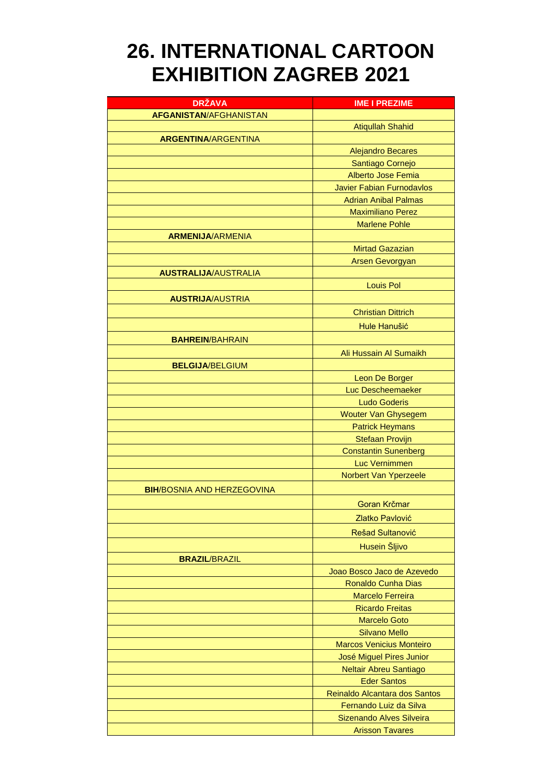## **26. INTERNATIONAL CARTOON EXHIBITION ZAGREB 2021**

| <b>DRŽAVA</b>                     | <b>IME I PREZIME</b>             |
|-----------------------------------|----------------------------------|
| <b>AFGANISTAN/AFGHANISTAN</b>     |                                  |
|                                   | <b>Atiqullah Shahid</b>          |
| <b>ARGENTINA/ARGENTINA</b>        |                                  |
|                                   | <b>Alejandro Becares</b>         |
|                                   | Santiago Cornejo                 |
|                                   | Alberto Jose Femia               |
|                                   | <b>Javier Fabian Furnodavlos</b> |
|                                   | <b>Adrian Anibal Palmas</b>      |
|                                   | <b>Maximiliano Perez</b>         |
|                                   | <b>Marlene Pohle</b>             |
| <b>ARMENIJA/ARMENIA</b>           |                                  |
|                                   | <b>Mirtad Gazazian</b>           |
|                                   | <b>Arsen Gevorgyan</b>           |
| <b>AUSTRALIJA/AUSTRALIA</b>       |                                  |
|                                   | <b>Louis Pol</b>                 |
| <b>AUSTRIJA/AUSTRIA</b>           |                                  |
|                                   | <b>Christian Dittrich</b>        |
|                                   | Hule Hanušić                     |
| <b>BAHREIN/BAHRAIN</b>            |                                  |
|                                   | Ali Hussain Al Sumaikh           |
| <b>BELGIJA/BELGIUM</b>            |                                  |
|                                   | Leon De Borger                   |
|                                   | Luc Descheemaeker                |
|                                   | <b>Ludo Goderis</b>              |
|                                   | <b>Wouter Van Ghysegem</b>       |
|                                   | <b>Patrick Heymans</b>           |
|                                   | <b>Stefaan Provijn</b>           |
|                                   | <b>Constantin Sunenberg</b>      |
|                                   | <b>Luc Vernimmen</b>             |
|                                   | Norbert Van Yperzeele            |
| <b>BIH/BOSNIA AND HERZEGOVINA</b> |                                  |
|                                   |                                  |
|                                   | Goran Krčmar                     |
|                                   | Zlatko Pavlović                  |
|                                   | Rešad Sultanović                 |
|                                   | Husein Šljivo                    |
| <b>BRAZIL/BRAZIL</b>              |                                  |
|                                   | Joao Bosco Jaco de Azevedo       |
|                                   | <b>Ronaldo Cunha Dias</b>        |
|                                   | <b>Marcelo Ferreira</b>          |
|                                   | <b>Ricardo Freitas</b>           |
|                                   | <b>Marcelo Goto</b>              |
|                                   | <b>Silvano Mello</b>             |
|                                   | <b>Marcos Venicius Monteiro</b>  |
|                                   | José Miguel Pires Junior         |
|                                   | Neltair Abreu Santiago           |
|                                   | <b>Eder Santos</b>               |
|                                   | Reinaldo Alcantara dos Santos    |
|                                   | Fernando Luiz da Silva           |
|                                   | Sizenando Alves Silveira         |
|                                   | <b>Arisson Tavares</b>           |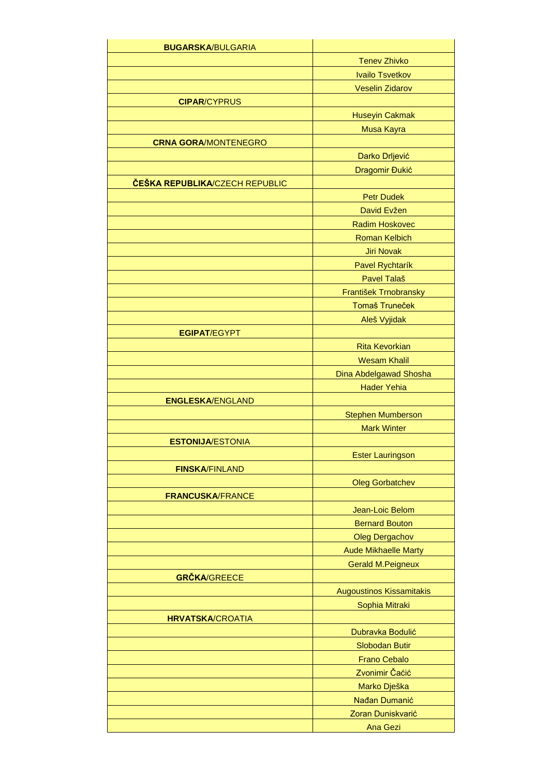| <b>BUGARSKA/BULGARIA</b>       |                                 |
|--------------------------------|---------------------------------|
|                                | <b>Tenev Zhivko</b>             |
|                                | <b>Ivailo Tsvetkov</b>          |
|                                | <b>Veselin Zidarov</b>          |
| <b>CIPAR/CYPRUS</b>            |                                 |
|                                | <b>Huseyin Cakmak</b>           |
|                                | Musa Kayra                      |
| <b>CRNA GORA/MONTENEGRO</b>    |                                 |
|                                | Darko Drljević                  |
|                                | Dragomir Đukić                  |
| ČEŠKA REPUBLIKA/CZECH REPUBLIC |                                 |
|                                | <b>Petr Dudek</b>               |
|                                | David Evžen                     |
|                                | <b>Radim Hoskovec</b>           |
|                                | <b>Roman Kelbich</b>            |
|                                | <b>Jiri Novak</b>               |
|                                | Pavel Rychtarík                 |
|                                | <b>Pavel Talaš</b>              |
|                                | František Trnobransky           |
|                                | <b>Tomaš Truneček</b>           |
|                                | Aleš Vyjidak                    |
| <b>EGIPAT/EGYPT</b>            |                                 |
|                                | <b>Rita Kevorkian</b>           |
|                                | <b>Wesam Khalil</b>             |
|                                | Dina Abdelgawad Shosha          |
|                                | <b>Hader Yehia</b>              |
| <b>ENGLESKA/ENGLAND</b>        |                                 |
|                                | <b>Stephen Mumberson</b>        |
|                                | <b>Mark Winter</b>              |
| <b>ESTONIJA/ESTONIA</b>        |                                 |
|                                | <b>Ester Lauringson</b>         |
| <b>FINSKA/FINLAND</b>          |                                 |
|                                | <b>Oleg Gorbatchev</b>          |
| <b>FRANCUSKA/FRANCE</b>        |                                 |
|                                | Jean-Loic Belom                 |
|                                | <b>Bernard Bouton</b>           |
|                                | <b>Oleg Dergachov</b>           |
|                                | <b>Aude Mikhaelle Marty</b>     |
|                                | <b>Gerald M.Peigneux</b>        |
| <b>GRČKA/GREECE</b>            |                                 |
|                                | <b>Augoustinos Kissamitakis</b> |
|                                | Sophia Mitraki                  |
| <b>HRVATSKA/CROATIA</b>        |                                 |
|                                | Dubravka Bodulić                |
|                                | <b>Slobodan Butir</b>           |
|                                | <b>Frano Cebalo</b>             |
|                                | Zvonimir Čaćić                  |
|                                | Marko Dješka                    |
|                                | Nađan Dumanić                   |
|                                | Zoran Duniskvarić               |
|                                | <b>Ana Gezi</b>                 |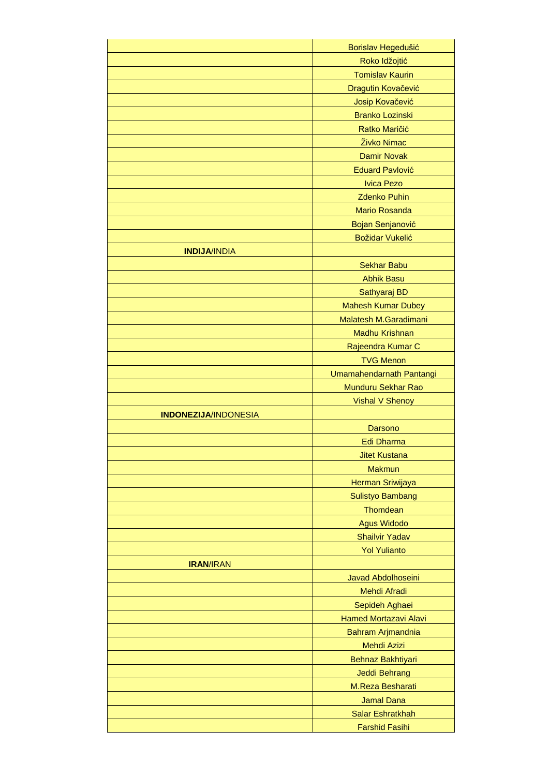|                             | Borislav Hegedušić           |
|-----------------------------|------------------------------|
|                             | Roko Idžojtić                |
|                             | <b>Tomislav Kaurin</b>       |
|                             | Dragutin Kovačević           |
|                             | Josip Kovačević              |
|                             | <b>Branko Lozinski</b>       |
|                             | Ratko Maričić                |
|                             | Živko Nimac                  |
|                             | <b>Damir Novak</b>           |
|                             | <b>Eduard Pavlović</b>       |
|                             | <b>Ivica Pezo</b>            |
|                             | <b>Zdenko Puhin</b>          |
|                             | <b>Mario Rosanda</b>         |
|                             | Bojan Senjanović             |
|                             | <b>Božidar Vukelić</b>       |
| <b>INDIJA/INDIA</b>         |                              |
|                             | <b>Sekhar Babu</b>           |
|                             | <b>Abhik Basu</b>            |
|                             | Sathyaraj BD                 |
|                             | <b>Mahesh Kumar Dubey</b>    |
|                             | Malatesh M.Garadimani        |
|                             | <b>Madhu Krishnan</b>        |
|                             | Rajeendra Kumar C            |
|                             | <b>TVG Menon</b>             |
|                             | Umamahendarnath Pantangi     |
|                             | Munduru Sekhar Rao           |
|                             | <b>Vishal V Shenoy</b>       |
| <b>INDONEZIJA/INDONESIA</b> |                              |
|                             | Darsono                      |
|                             | Edi Dharma                   |
|                             | <b>Jitet Kustana</b>         |
|                             | <b>Makmun</b>                |
|                             | Herman Sriwijaya             |
|                             | <b>Sulistyo Bambang</b>      |
|                             | Thomdean                     |
|                             | <b>Agus Widodo</b>           |
|                             | <b>Shailvir Yadav</b>        |
|                             | <b>Yol Yulianto</b>          |
| <b>IRAN/IRAN</b>            |                              |
|                             | <b>Javad Abdolhoseini</b>    |
|                             | Mehdi Afradi                 |
|                             | Sepideh Aghaei               |
|                             | <b>Hamed Mortazavi Alavi</b> |
|                             | Bahram Arjmandnia            |
|                             | <b>Mehdi Azizi</b>           |
|                             | Behnaz Bakhtiyari            |
|                             | <b>Jeddi Behrang</b>         |
|                             | M.Reza Besharati             |
|                             | <b>Jamal Dana</b>            |
|                             | <b>Salar Eshratkhah</b>      |
|                             | <b>Farshid Fasihi</b>        |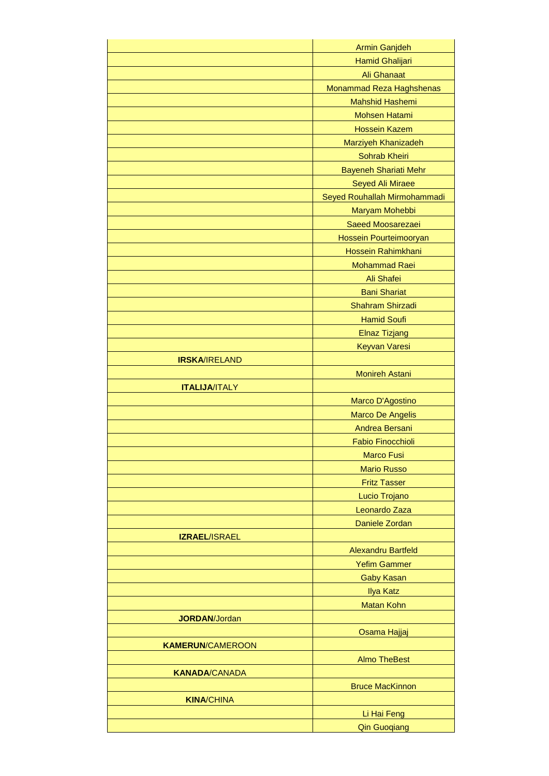|                         | <b>Armin Ganjdeh</b>                      |
|-------------------------|-------------------------------------------|
|                         | Hamid Ghalijari                           |
|                         | <b>Ali Ghanaat</b>                        |
|                         | Monammad Reza Haghshenas                  |
|                         | <b>Mahshid Hashemi</b>                    |
|                         | <b>Mohsen Hatami</b>                      |
|                         | <b>Hossein Kazem</b>                      |
|                         | Marziyeh Khanizadeh                       |
|                         | Sohrab Kheiri                             |
|                         | <b>Bayeneh Shariati Mehr</b>              |
|                         | Seyed Ali Miraee                          |
|                         | Seyed Rouhallah Mirmohammadi              |
|                         | Maryam Mohebbi                            |
|                         | Saeed Moosarezaei                         |
|                         | Hossein Pourteimooryan                    |
|                         | Hossein Rahimkhani                        |
|                         | <b>Mohammad Raei</b>                      |
|                         | Ali Shafei                                |
|                         | <b>Bani Shariat</b>                       |
|                         | Shahram Shirzadi                          |
|                         | <b>Hamid Soufi</b>                        |
|                         | <b>Elnaz Tizjang</b>                      |
|                         | <b>Keyvan Varesi</b>                      |
| <b>IRSKA/IRELAND</b>    |                                           |
|                         | <b>Monireh Astani</b>                     |
| <b>ITALIJA/ITALY</b>    |                                           |
|                         |                                           |
|                         | Marco D'Agostino                          |
|                         | <b>Marco De Angelis</b><br>Andrea Bersani |
|                         |                                           |
|                         | <b>Fabio Finocchioli</b>                  |
|                         | <b>Marco Fusi</b>                         |
|                         | <b>Mario Russo</b>                        |
|                         | <b>Fritz Tasser</b>                       |
|                         | Lucio Trojano                             |
|                         | Leonardo Zaza                             |
|                         | Daniele Zordan                            |
| <b>IZRAEL/ISRAEL</b>    |                                           |
|                         | <b>Alexandru Bartfeld</b>                 |
|                         | <b>Yefim Gammer</b>                       |
|                         | <b>Gaby Kasan</b>                         |
|                         | <b>Ilya Katz</b>                          |
|                         | <b>Matan Kohn</b>                         |
| <b>JORDAN/Jordan</b>    |                                           |
|                         | Osama Hajjaj                              |
| <b>KAMERUN/CAMEROON</b> |                                           |
|                         | <b>Almo TheBest</b>                       |
| <b>KANADA/CANADA</b>    |                                           |
|                         | <b>Bruce MacKinnon</b>                    |
| <b>KINA/CHINA</b>       |                                           |
|                         | Li Hai Feng                               |
|                         | <b>Qin Guoqiang</b>                       |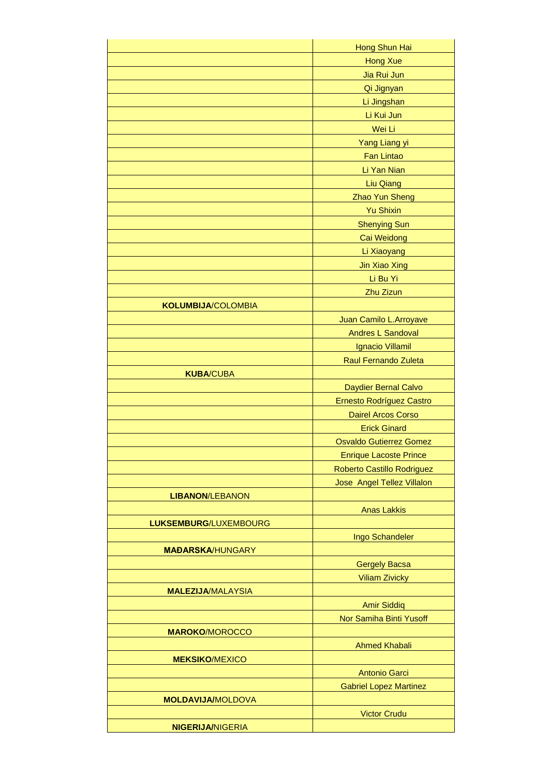|                           | Hong Shun Hai                  |
|---------------------------|--------------------------------|
|                           | <b>Hong Xue</b>                |
|                           | Jia Rui Jun                    |
|                           | Qi Jignyan                     |
|                           | Li Jingshan                    |
|                           | Li Kui Jun                     |
|                           | Wei Li                         |
|                           | Yang Liang yi                  |
|                           | <b>Fan Lintao</b>              |
|                           | Li Yan Nian                    |
|                           | <b>Liu Qiang</b>               |
|                           | Zhao Yun Sheng                 |
|                           | <b>Yu Shixin</b>               |
|                           | <b>Shenying Sun</b>            |
|                           | Cai Weidong                    |
|                           | Li Xiaoyang                    |
|                           | <b>Jin Xiao Xing</b>           |
|                           | Li Bu Yi                       |
|                           | Zhu Zizun                      |
| <b>KOLUMBIJA/COLOMBIA</b> |                                |
|                           | Juan Camilo L.Arroyave         |
|                           | <b>Andres L Sandoval</b>       |
|                           | Ignacio Villamil               |
|                           | <b>Raul Fernando Zuleta</b>    |
| <b>KUBA/CUBA</b>          |                                |
|                           | Daydier Bernal Calvo           |
|                           | Ernesto Rodríguez Castro       |
|                           | <b>Dairel Arcos Corso</b>      |
|                           | <b>Erick Ginard</b>            |
|                           | <b>Osvaldo Gutierrez Gomez</b> |
|                           | <b>Enrique Lacoste Prince</b>  |
|                           | Roberto Castillo Rodriguez     |
|                           | Jose Angel Tellez Villalon     |
| <b>LIBANON/LEBANON</b>    |                                |
|                           | <b>Anas Lakkis</b>             |
| LUKSEMBURG/LUXEMBOURG     |                                |
|                           | Ingo Schandeler                |
| <b>MAĐARSKA/HUNGARY</b>   |                                |
|                           | <b>Gergely Bacsa</b>           |
|                           | <b>Viliam Zivicky</b>          |
| <b>MALEZIJA/MALAYSIA</b>  |                                |
|                           | <b>Amir Siddiq</b>             |
|                           | Nor Samiha Binti Yusoff        |
| <b>MAROKO/MOROCCO</b>     |                                |
|                           | <b>Ahmed Khabali</b>           |
| <b>MEKSIKO/MEXICO</b>     |                                |
|                           | <b>Antonio Garci</b>           |
|                           | <b>Gabriel Lopez Martinez</b>  |
| <b>MOLDAVIJA/MOLDOVA</b>  |                                |
|                           | <b>Victor Crudu</b>            |
| <b>NIGERIJA/NIGERIA</b>   |                                |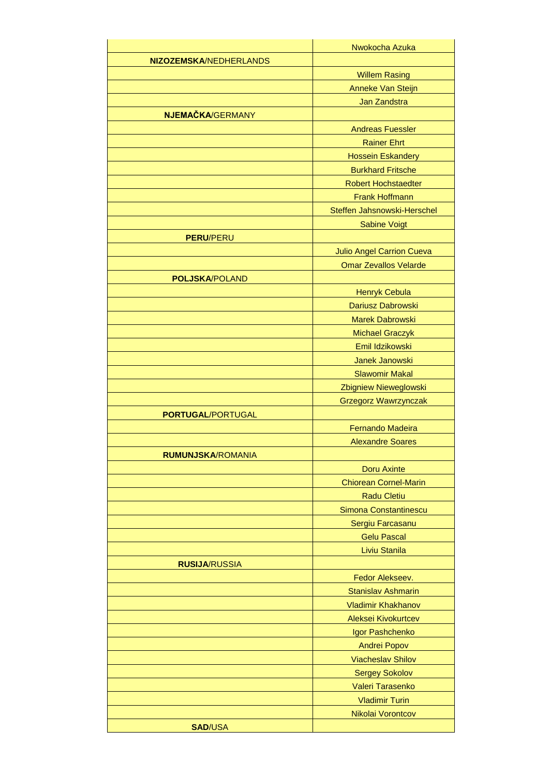|                               | Nwokocha Azuka                                  |
|-------------------------------|-------------------------------------------------|
| <b>NIZOZEMSKA/NEDHERLANDS</b> |                                                 |
|                               | <b>Willem Rasing</b>                            |
|                               | Anneke Van Steijn                               |
|                               | Jan Zandstra                                    |
| NJEMAČKA/GERMANY              |                                                 |
|                               | <b>Andreas Fuessler</b>                         |
|                               | <b>Rainer Ehrt</b>                              |
|                               | <b>Hossein Eskandery</b>                        |
|                               | <b>Burkhard Fritsche</b>                        |
|                               | <b>Robert Hochstaedter</b>                      |
|                               | <b>Frank Hoffmann</b>                           |
|                               | Steffen Jahsnowski-Herschel                     |
|                               | <b>Sabine Voigt</b>                             |
| <b>PERU/PERU</b>              |                                                 |
|                               | <b>Julio Angel Carrion Cueva</b>                |
|                               | <b>Omar Zevallos Velarde</b>                    |
| <b>POLJSKA/POLAND</b>         |                                                 |
|                               | <b>Henryk Cebula</b>                            |
|                               | Dariusz Dabrowski                               |
|                               | <b>Marek Dabrowski</b>                          |
|                               | <b>Michael Graczyk</b>                          |
|                               | Emil Idzikowski                                 |
|                               | Janek Janowski                                  |
|                               | <b>Slawomir Makal</b>                           |
|                               | Zbigniew Nieweglowski                           |
|                               | <b>Grzegorz Wawrzynczak</b>                     |
| <b>PORTUGAL/PORTUGAL</b>      |                                                 |
|                               | <b>Fernando Madeira</b>                         |
|                               | <b>Alexandre Soares</b>                         |
| <b>RUMUNJSKA/ROMANIA</b>      |                                                 |
|                               | <b>Doru Axinte</b>                              |
|                               | <b>Chiorean Cornel-Marin</b>                    |
|                               | <b>Radu Cletiu</b>                              |
|                               | Simona Constantinescu                           |
|                               | Sergiu Farcasanu                                |
|                               | <b>Gelu Pascal</b>                              |
|                               | Liviu Stanila                                   |
| <b>RUSIJA/RUSSIA</b>          |                                                 |
|                               | Fedor Alekseev.                                 |
|                               | <b>Stanislav Ashmarin</b>                       |
|                               | <b>Vladimir Khakhanov</b>                       |
|                               | Aleksei Kivokurtcev                             |
|                               | Igor Pashchenko                                 |
|                               | <b>Andrei Popov</b><br><b>Viacheslav Shilov</b> |
|                               |                                                 |
|                               | <b>Sergey Sokolov</b>                           |
|                               | Valeri Tarasenko<br><b>Vladimir Turin</b>       |
|                               | Nikolai Vorontcov                               |
| <b>SAD/USA</b>                |                                                 |
|                               |                                                 |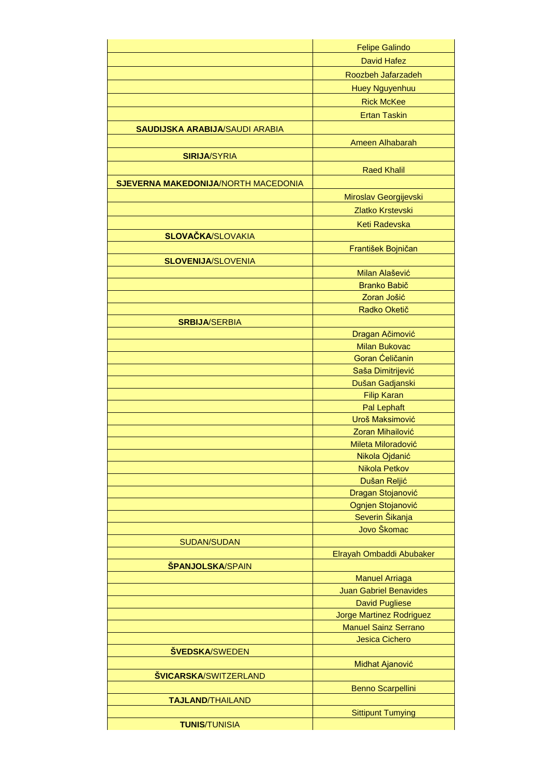|                                       | <b>Felipe Galindo</b>                                   |
|---------------------------------------|---------------------------------------------------------|
|                                       | <b>David Hafez</b>                                      |
|                                       | Roozbeh Jafarzadeh                                      |
|                                       |                                                         |
|                                       | <b>Huey Nguyenhuu</b>                                   |
|                                       | <b>Rick McKee</b>                                       |
|                                       | <b>Ertan Taskin</b>                                     |
| <b>SAUDIJSKA ARABIJA/SAUDI ARABIA</b> |                                                         |
|                                       | Ameen Alhabarah                                         |
| <b>SIRIJA/SYRIA</b>                   |                                                         |
|                                       | <b>Raed Khalil</b>                                      |
| SJEVERNA MAKEDONIJA/NORTH MACEDONIA   |                                                         |
|                                       | Miroslav Georgijevski                                   |
|                                       |                                                         |
|                                       | Zlatko Krstevski                                        |
|                                       | <b>Keti Radevska</b>                                    |
| <b>SLOVAČKA/SLOVAKIA</b>              |                                                         |
|                                       | František Bojničan                                      |
| <b>SLOVENIJA/SLOVENIA</b>             |                                                         |
|                                       | Milan Alašević                                          |
|                                       | <b>Branko Babič</b>                                     |
|                                       | Zoran Jošić                                             |
|                                       | Radko Oketič                                            |
| <b>SRBIJA/SERBIA</b>                  |                                                         |
|                                       | Dragan Ačimović                                         |
|                                       | <b>Milan Bukovac</b>                                    |
|                                       | Goran Ćeličanin                                         |
|                                       | Saša Dimitrijević                                       |
|                                       | Dušan Gadjanski                                         |
|                                       | <b>Filip Karan</b>                                      |
|                                       | <b>Pal Lephaft</b><br>Uroš Maksimović                   |
|                                       |                                                         |
|                                       | Zoran Mihailović                                        |
|                                       | Mileta Miloradović                                      |
|                                       | Nikola Ojdanić                                          |
|                                       | <b>Nikola Petkov</b>                                    |
|                                       | Dušan Reljić                                            |
|                                       | Dragan Stojanović                                       |
|                                       | Ognjen Stojanović                                       |
|                                       | Severin Šikanja<br>Jovo Škomac                          |
|                                       |                                                         |
| <b>SUDAN/SUDAN</b>                    |                                                         |
| ŠPANJOLSKA/SPAIN                      | Elrayah Ombaddi Abubaker                                |
|                                       |                                                         |
|                                       | <b>Manuel Arriaga</b><br><b>Juan Gabriel Benavides</b>  |
|                                       | <b>David Pugliese</b>                                   |
|                                       |                                                         |
|                                       | Jorge Martinez Rodriguez<br><b>Manuel Sainz Serrano</b> |
|                                       | <b>Jesica Cichero</b>                                   |
| <b>ŠVEDSKA/SWEDEN</b>                 |                                                         |
|                                       | Midhat Ajanović                                         |
| <b>ŠVICARSKA/SWITZERLAND</b>          |                                                         |
|                                       | <b>Benno Scarpellini</b>                                |
| <b>TAJLAND/THAILAND</b>               |                                                         |
|                                       | <b>Sittipunt Tumying</b>                                |
| <b>TUNIS/TUNISIA</b>                  |                                                         |